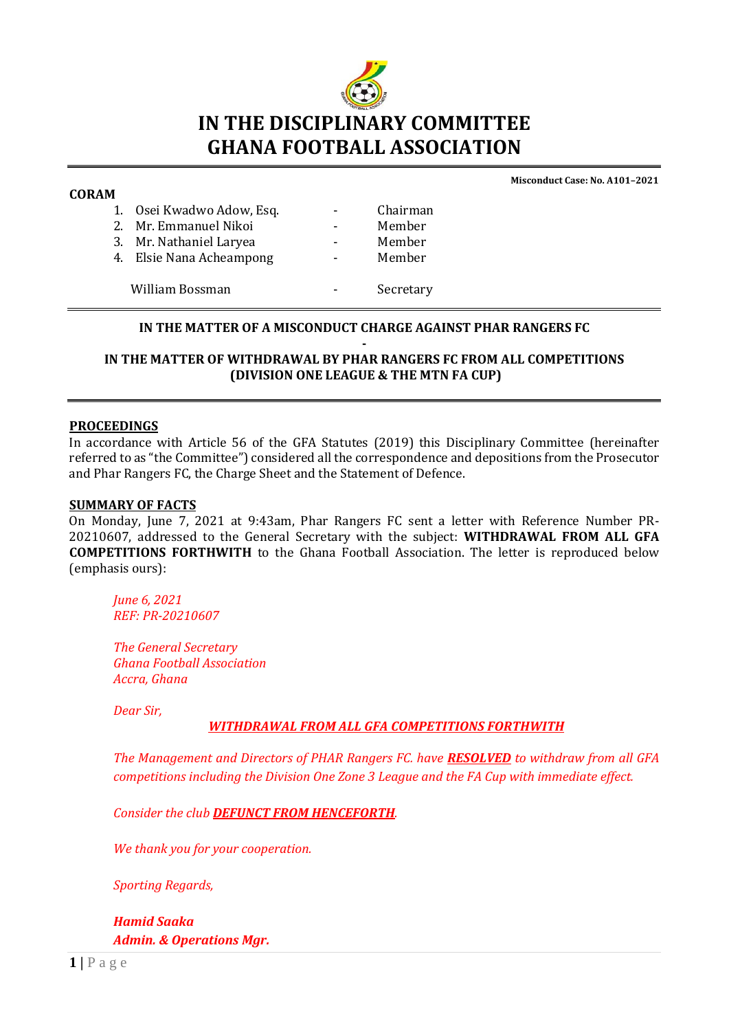

#### **CORAM**

**Misconduct Case: No. A101–2021**

| . . |                           |           |
|-----|---------------------------|-----------|
|     | 1. Osei Kwadwo Adow, Esq. | Chairman  |
|     | 2. Mr. Emmanuel Nikoi     | Member    |
|     | 3. Mr. Nathaniel Laryea   | Member    |
|     | 4. Elsie Nana Acheampong  | Member    |
|     |                           |           |
|     | William Bossman           | Secretary |
|     |                           |           |

## **IN THE MATTER OF A MISCONDUCT CHARGE AGAINST PHAR RANGERS FC**

#### **- IN THE MATTER OF WITHDRAWAL BY PHAR RANGERS FC FROM ALL COMPETITIONS (DIVISION ONE LEAGUE & THE MTN FA CUP)**

#### **PROCEEDINGS**

In accordance with Article 56 of the GFA Statutes (2019) this Disciplinary Committee (hereinafter referred to as "the Committee") considered all the correspondence and depositions from the Prosecutor and Phar Rangers FC, the Charge Sheet and the Statement of Defence.

#### **SUMMARY OF FACTS**

On Monday, June 7, 2021 at 9:43am, Phar Rangers FC sent a letter with Reference Number PR-20210607, addressed to the General Secretary with the subject: **WITHDRAWAL FROM ALL GFA COMPETITIONS FORTHWITH** to the Ghana Football Association. The letter is reproduced below (emphasis ours):

*June 6, 2021 REF: PR-20210607*

*The General Secretary Ghana Football Association Accra, Ghana*

*Dear Sir,*

#### *WITHDRAWAL FROM ALL GFA COMPETITIONS FORTHWITH*

*The Management and Directors of PHAR Rangers FC. have RESOLVED to withdraw from all GFA competitions including the Division One Zone 3 League and the FA Cup with immediate effect.* 

*Consider the club DEFUNCT FROM HENCEFORTH.* 

*We thank you for your cooperation.* 

*Sporting Regards,*

*Hamid Saaka Admin. & Operations Mgr.*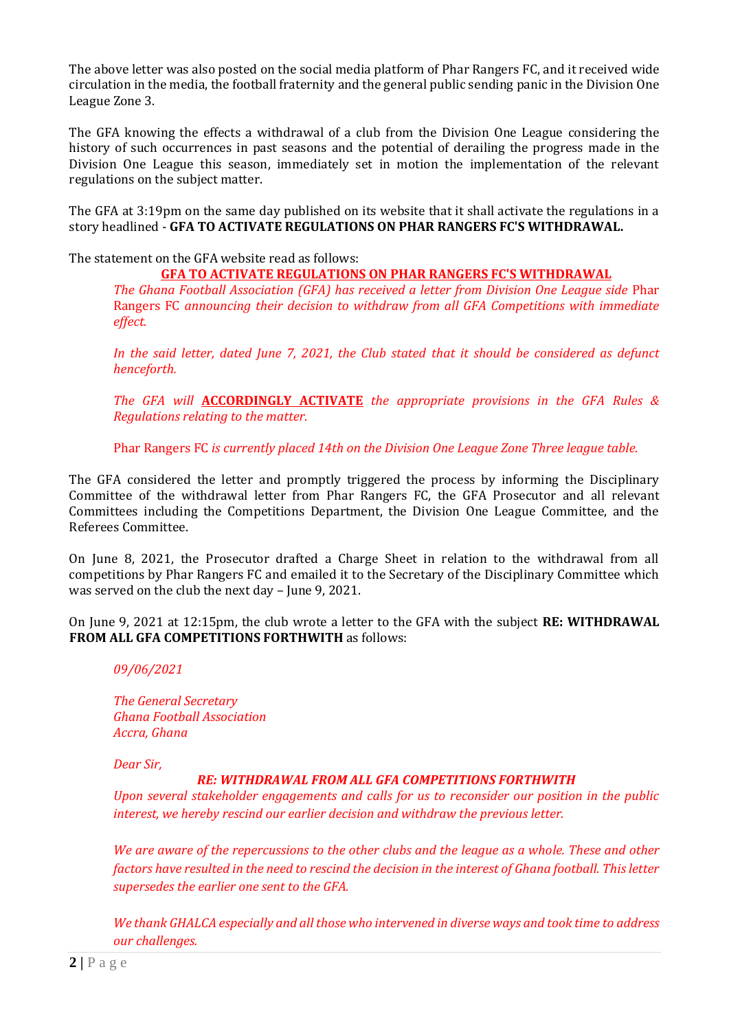The above letter was also posted on the social media platform of Phar Rangers FC, and it received wide circulation in the media, the football fraternity and the general public sending panic in the Division One League Zone 3.

The GFA knowing the effects a withdrawal of a club from the Division One League considering the history of such occurrences in past seasons and the potential of derailing the progress made in the Division One League this season, immediately set in motion the implementation of the relevant regulations on the subject matter.

The GFA at 3:19pm on the same day published on its website that it shall activate the regulations in a story headlined - **GFA TO ACTIVATE REGULATIONS ON PHAR RANGERS FC'S WITHDRAWAL.**

The statement on the GFA website read as follows:

# **GFA TO ACTIVATE REGULATIONS ON PHAR RANGERS FC'S WITHDRAWAL**

*The Ghana Football Association (GFA) has received a letter from Division One League side* Phar Rangers FC *announcing their decision to withdraw from all GFA Competitions with immediate effect.*

*In the said letter, dated June 7, 2021, the Club stated that it should be considered as defunct henceforth.*

*The GFA will* **ACCORDINGLY ACTIVATE** *the appropriate provisions in the GFA Rules & Regulations relating to the matter.*

Phar Rangers FC *is currently placed 14th on the Division One League Zone Three league table.*

The GFA considered the letter and promptly triggered the process by informing the Disciplinary Committee of the withdrawal letter from Phar Rangers FC, the GFA Prosecutor and all relevant Committees including the Competitions Department, the Division One League Committee, and the Referees Committee.

On June 8, 2021, the Prosecutor drafted a Charge Sheet in relation to the withdrawal from all competitions by Phar Rangers FC and emailed it to the Secretary of the Disciplinary Committee which was served on the club the next day – June 9, 2021.

On June 9, 2021 at 12:15pm, the club wrote a letter to the GFA with the subject **RE: WITHDRAWAL FROM ALL GFA COMPETITIONS FORTHWITH** as follows:

## *09/06/2021*

*The General Secretary Ghana Football Association Accra, Ghana*

*Dear Sir,* 

# *RE: WITHDRAWAL FROM ALL GFA COMPETITIONS FORTHWITH*

*Upon several stakeholder engagements and calls for us to reconsider our position in the public interest, we hereby rescind our earlier decision and withdraw the previous letter.* 

*We are aware of the repercussions to the other clubs and the league as a whole. These and other factors have resulted in the need to rescind the decision in the interest of Ghana football. This letter supersedes the earlier one sent to the GFA.* 

*We thank GHALCA especially and all those who intervened in diverse ways and took time to address our challenges.*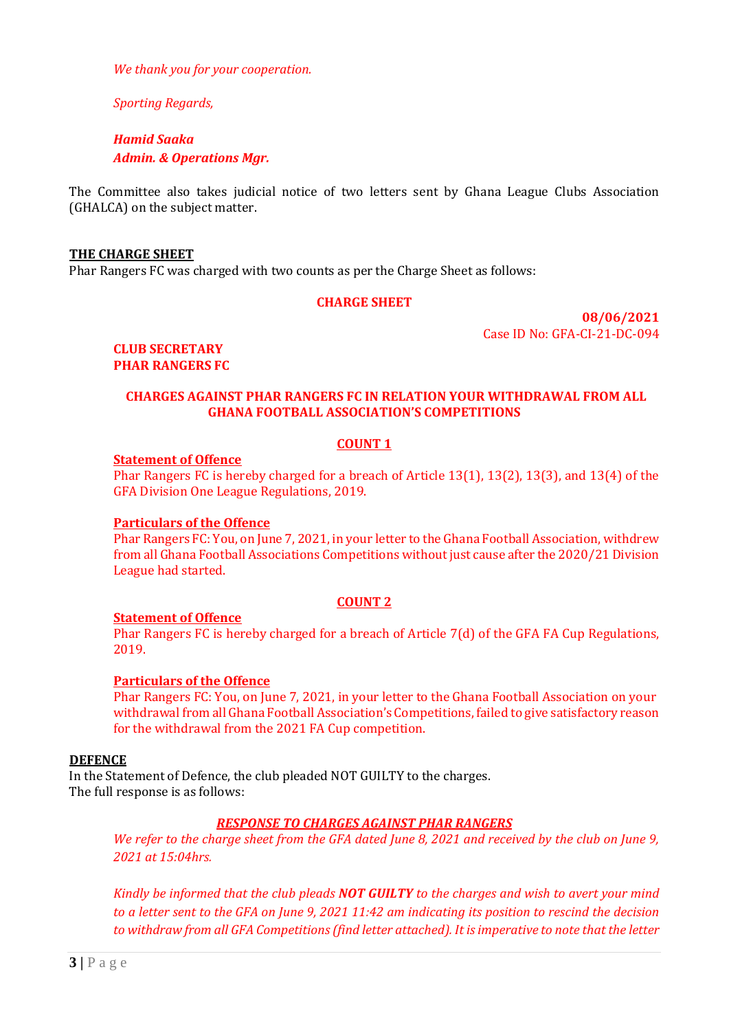*We thank you for your cooperation.* 

*Sporting Regards,*

*Hamid Saaka Admin. & Operations Mgr.*

The Committee also takes judicial notice of two letters sent by Ghana League Clubs Association (GHALCA) on the subject matter.

#### **THE CHARGE SHEET**

Phar Rangers FC was charged with two counts as per the Charge Sheet as follows:

### **CHARGE SHEET**

**08/06/2021** Case ID No: GFA-CI-21-DC-094

**CLUB SECRETARY PHAR RANGERS FC**

### **CHARGES AGAINST PHAR RANGERS FC IN RELATION YOUR WITHDRAWAL FROM ALL GHANA FOOTBALL ASSOCIATION'S COMPETITIONS**

#### **COUNT 1**

#### **Statement of Offence**

Phar Rangers FC is hereby charged for a breach of Article 13(1), 13(2), 13(3), and 13(4) of the GFA Division One League Regulations, 2019.

#### **Particulars of the Offence**

Phar Rangers FC: You, on June 7, 2021, in your letter to the Ghana Football Association, withdrew from all Ghana Football Associations Competitions without just cause after the 2020/21 Division League had started.

## **COUNT 2**

#### **Statement of Offence**

Phar Rangers FC is hereby charged for a breach of Article 7(d) of the GFA FA Cup Regulations, 2019.

## **Particulars of the Offence**

Phar Rangers FC: You, on June 7, 2021, in your letter to the Ghana Football Association on your withdrawal from all Ghana Football Association's Competitions, failed to give satisfactory reason for the withdrawal from the 2021 FA Cup competition.

#### **DEFENCE**

In the Statement of Defence, the club pleaded NOT GUILTY to the charges. The full response is as follows:

## *RESPONSE TO CHARGES AGAINST PHAR RANGERS*

*We refer to the charge sheet from the GFA dated June 8, 2021 and received by the club on June 9, 2021 at 15:04hrs.* 

*Kindly be informed that the club pleads NOT GUILTY to the charges and wish to avert your mind to a letter sent to the GFA on June 9, 2021 11:42 am indicating its position to rescind the decision to withdraw from all GFA Competitions(find letter attached). It is imperative to note that the letter*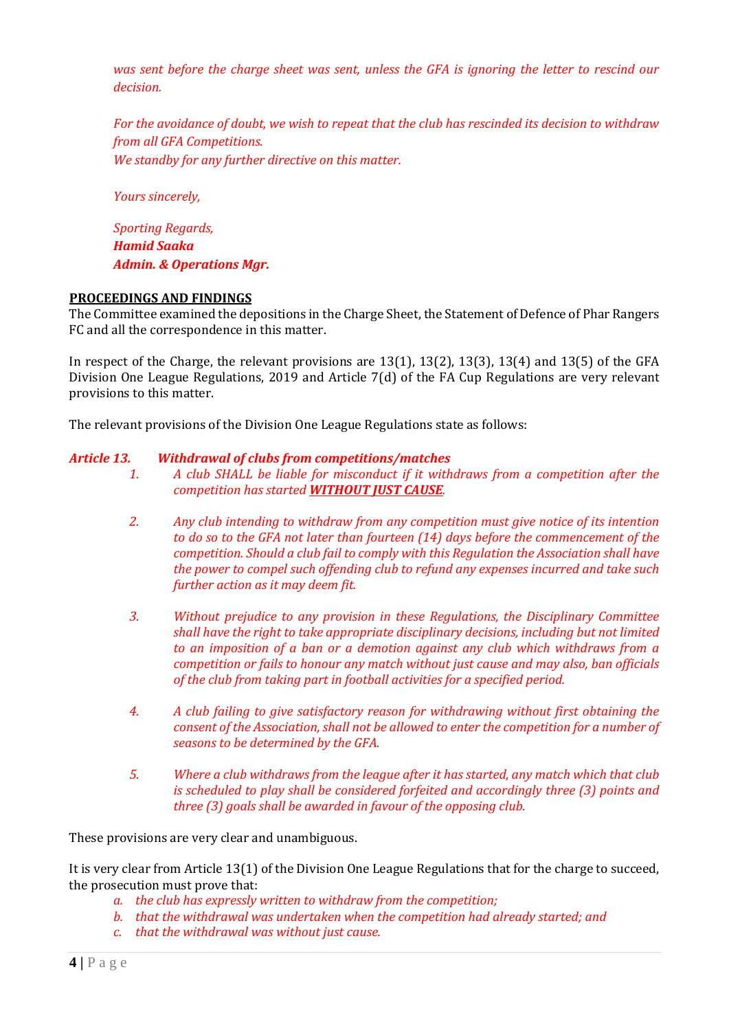*was sent before the charge sheet was sent, unless the GFA is ignoring the letter to rescind our decision.* 

*For the avoidance of doubt, we wish to repeat that the club has rescinded its decision to withdraw from all GFA Competitions. We standby for any further directive on this matter.* 

*Yours sincerely,*

*Sporting Regards, Hamid Saaka Admin. & Operations Mgr.*

### **PROCEEDINGS AND FINDINGS**

The Committee examined the depositions in the Charge Sheet, the Statement of Defence of Phar Rangers FC and all the correspondence in this matter.

In respect of the Charge, the relevant provisions are 13(1), 13(2), 13(3), 13(4) and 13(5) of the GFA Division One League Regulations, 2019 and Article 7(d) of the FA Cup Regulations are very relevant provisions to this matter.

The relevant provisions of the Division One League Regulations state as follows:

### *Article 13. Withdrawal of clubs from competitions/matches*

- *1. A club SHALL be liable for misconduct if it withdraws from a competition after the competition has started WITHOUT JUST CAUSE.*
- *2. Any club intending to withdraw from any competition must give notice of its intention to do so to the GFA not later than fourteen (14) days before the commencement of the competition. Should a club fail to comply with this Regulation the Association shall have the power to compel such offending club to refund any expenses incurred and take such further action as it may deem fit.*
- *3. Without prejudice to any provision in these Regulations, the Disciplinary Committee shall have the right to take appropriate disciplinary decisions, including but not limited to an imposition of a ban or a demotion against any club which withdraws from a competition or fails to honour any match without just cause and may also, ban officials of the club from taking part in football activities for a specified period.*
- *4. A club failing to give satisfactory reason for withdrawing without first obtaining the consent of the Association, shall not be allowed to enter the competition for a number of seasons to be determined by the GFA.*
- *5. Where a club withdraws from the league after it has started, any match which that club is scheduled to play shall be considered forfeited and accordingly three (3) points and three (3) goals shall be awarded in favour of the opposing club.*

These provisions are very clear and unambiguous.

It is very clear from Article 13(1) of the Division One League Regulations that for the charge to succeed, the prosecution must prove that:

- *a. the club has expressly written to withdraw from the competition;*
- *b. that the withdrawal was undertaken when the competition had already started; and*
- *c. that the withdrawal was without just cause.*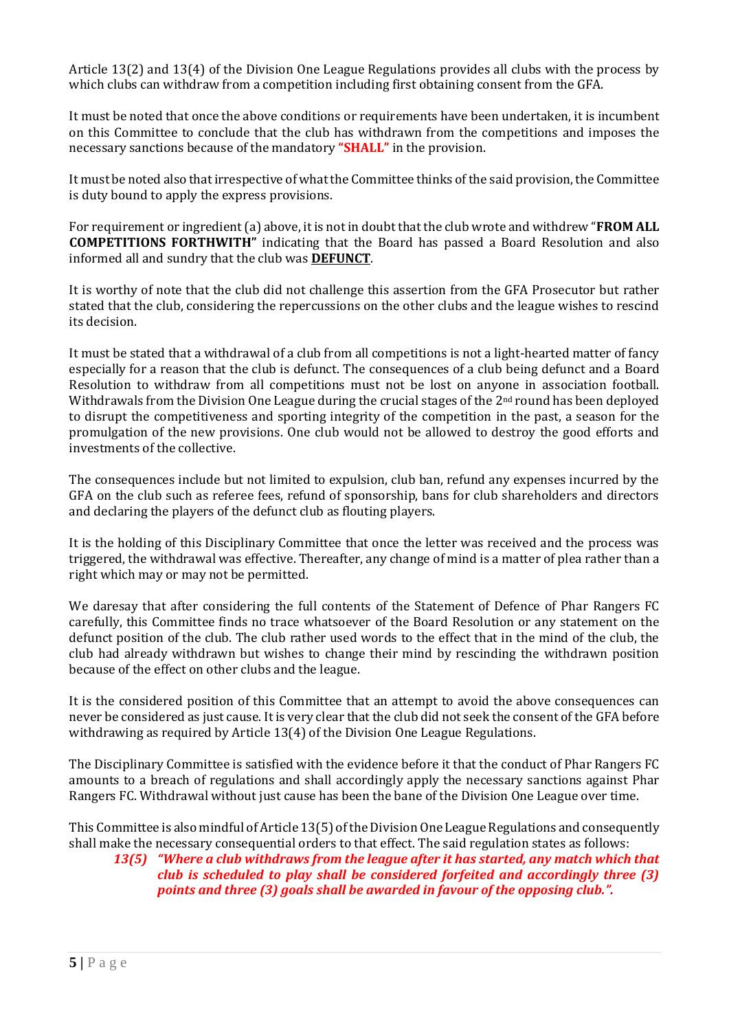Article 13(2) and 13(4) of the Division One League Regulations provides all clubs with the process by which clubs can withdraw from a competition including first obtaining consent from the GFA.

It must be noted that once the above conditions or requirements have been undertaken, it is incumbent on this Committee to conclude that the club has withdrawn from the competitions and imposes the necessary sanctions because of the mandatory **"SHALL"** in the provision.

It must be noted also that irrespective of what the Committee thinks of the said provision, the Committee is duty bound to apply the express provisions.

For requirement or ingredient (a) above, it is not in doubt that the club wrote and withdrew "**FROM ALL COMPETITIONS FORTHWITH"** indicating that the Board has passed a Board Resolution and also informed all and sundry that the club was **DEFUNCT**.

It is worthy of note that the club did not challenge this assertion from the GFA Prosecutor but rather stated that the club, considering the repercussions on the other clubs and the league wishes to rescind its decision.

It must be stated that a withdrawal of a club from all competitions is not a light-hearted matter of fancy especially for a reason that the club is defunct. The consequences of a club being defunct and a Board Resolution to withdraw from all competitions must not be lost on anyone in association football. Withdrawals from the Division One League during the crucial stages of the  $2<sup>nd</sup>$  round has been deployed to disrupt the competitiveness and sporting integrity of the competition in the past, a season for the promulgation of the new provisions. One club would not be allowed to destroy the good efforts and investments of the collective.

The consequences include but not limited to expulsion, club ban, refund any expenses incurred by the GFA on the club such as referee fees, refund of sponsorship, bans for club shareholders and directors and declaring the players of the defunct club as flouting players.

It is the holding of this Disciplinary Committee that once the letter was received and the process was triggered, the withdrawal was effective. Thereafter, any change of mind is a matter of plea rather than a right which may or may not be permitted.

We daresay that after considering the full contents of the Statement of Defence of Phar Rangers FC carefully, this Committee finds no trace whatsoever of the Board Resolution or any statement on the defunct position of the club. The club rather used words to the effect that in the mind of the club, the club had already withdrawn but wishes to change their mind by rescinding the withdrawn position because of the effect on other clubs and the league.

It is the considered position of this Committee that an attempt to avoid the above consequences can never be considered as just cause. It is very clear that the club did not seek the consent of the GFA before withdrawing as required by Article 13(4) of the Division One League Regulations.

The Disciplinary Committee is satisfied with the evidence before it that the conduct of Phar Rangers FC amounts to a breach of regulations and shall accordingly apply the necessary sanctions against Phar Rangers FC. Withdrawal without just cause has been the bane of the Division One League over time.

This Committee is also mindful of Article 13(5) of the Division One League Regulations and consequently shall make the necessary consequential orders to that effect. The said regulation states as follows:

# *13(5) "Where a club withdraws from the league after it has started, any match which that club is scheduled to play shall be considered forfeited and accordingly three (3) points and three (3) goals shall be awarded in favour of the opposing club.".*